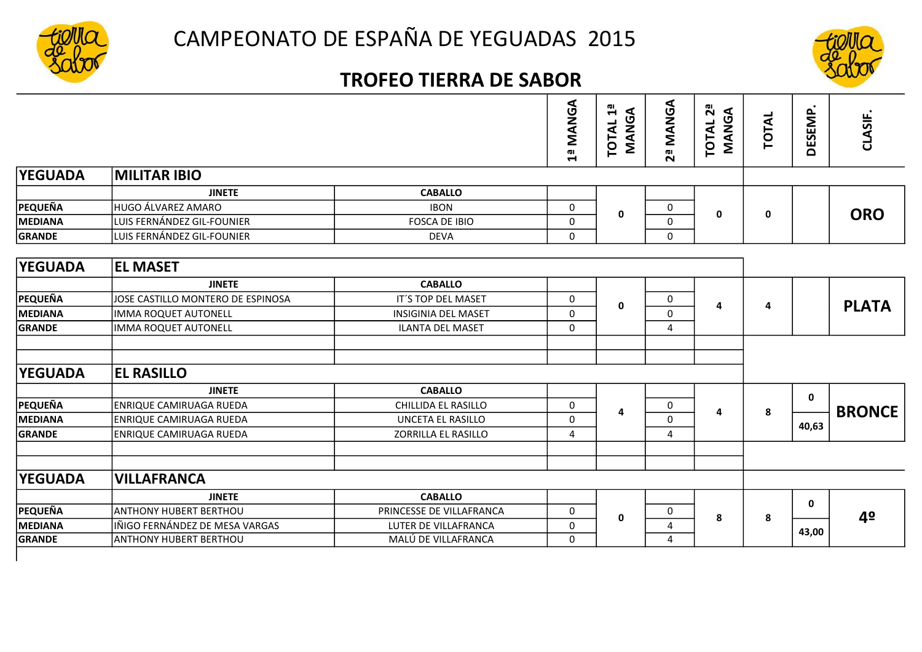



## TROFEO TIERRA DE SABOR

|                |                                   |                            | <b>AMANGA</b>  | ωı<br>MANGA<br>$\blacktriangleright$<br><b>TOTAL</b> | 2ª MANGA              | $2^{\frac{a}{2}}$<br>MANGA<br>TOTAL | TOTAL | DESEMP.      | CLASIF.       |
|----------------|-----------------------------------|----------------------------|----------------|------------------------------------------------------|-----------------------|-------------------------------------|-------|--------------|---------------|
| <b>YEGUADA</b> | <b>MILITAR IBIO</b>               |                            |                |                                                      |                       |                                     |       |              |               |
|                | <b>JINETE</b>                     | <b>CABALLO</b>             |                |                                                      |                       |                                     |       |              |               |
| <b>PEQUEÑA</b> | HUGO ÁLVAREZ AMARO                | <b>IBON</b>                | 0              | 0<br>0<br>$\mathbf 0$<br>0                           | 0                     | 0                                   |       | <b>ORO</b>   |               |
| <b>MEDIANA</b> | LUIS FERNÁNDEZ GIL-FOUNIER        | <b>FOSCA DE IBIO</b>       | $\Omega$       |                                                      |                       |                                     |       |              |               |
| <b>GRANDE</b>  | LUIS FERNÁNDEZ GIL-FOUNIER        | <b>DEVA</b>                | $\Omega$       |                                                      |                       |                                     |       |              |               |
|                |                                   |                            |                |                                                      |                       |                                     |       |              |               |
| <b>YEGUADA</b> | <b>EL MASET</b>                   |                            |                |                                                      |                       |                                     |       |              |               |
|                | <b>JINETE</b>                     | <b>CABALLO</b>             |                |                                                      |                       |                                     |       |              |               |
| <b>PEQUEÑA</b> | JOSE CASTILLO MONTERO DE ESPINOSA | IT'S TOP DEL MASET         | 0              |                                                      | 0<br>4<br>$\mathbf 0$ |                                     |       |              | <b>PLATA</b>  |
| <b>MEDIANA</b> | <b>IMMA ROQUET AUTONELL</b>       | <b>INSIGINIA DEL MASET</b> | $\Omega$       | $\bf{0}$                                             |                       |                                     | 4     |              |               |
| <b>GRANDE</b>  | <b>IMMA ROQUET AUTONELL</b>       | ILANTA DEL MASET           | 0              |                                                      | 4                     |                                     |       |              |               |
|                |                                   |                            |                |                                                      |                       |                                     |       |              |               |
|                |                                   |                            |                |                                                      |                       |                                     |       |              |               |
| <b>YEGUADA</b> | <b>EL RASILLO</b>                 |                            |                |                                                      |                       |                                     |       |              |               |
|                | <b>JINETE</b>                     | <b>CABALLO</b>             |                |                                                      |                       |                                     |       | $\mathbf{0}$ |               |
| <b>PEQUEÑA</b> | <b>ENRIQUE CAMIRUAGA RUEDA</b>    | CHILLIDA EL RASILLO        | $\mathbf 0$    | 4                                                    | $\mathbf 0$           | 4                                   | 8     |              | <b>BRONCE</b> |
| <b>MEDIANA</b> | <b>ENRIQUE CAMIRUAGA RUEDA</b>    | <b>UNCETA EL RASILLO</b>   | $\Omega$       |                                                      | $\mathbf 0$           |                                     |       | 40,63        |               |
| <b>GRANDE</b>  | <b>ENRIQUE CAMIRUAGA RUEDA</b>    | ZORRILLA EL RASILLO        | $\overline{a}$ |                                                      | 4                     |                                     |       |              |               |
|                |                                   |                            |                |                                                      |                       |                                     |       |              |               |
|                |                                   |                            |                |                                                      |                       |                                     |       |              |               |
| <b>YEGUADA</b> | <b>VILLAFRANCA</b>                |                            |                |                                                      |                       |                                     |       |              |               |
|                | <b>JINETE</b>                     | <b>CABALLO</b>             |                |                                                      |                       |                                     |       | 0            |               |
| <b>PEQUEÑA</b> | <b>ANTHONY HUBERT BERTHOU</b>     | PRINCESSE DE VILLAFRANCA   | 0              | 0                                                    | 0                     | 8                                   | 8     |              | 4º            |
| <b>MEDIANA</b> | IÑIGO FERNÁNDEZ DE MESA VARGAS    | LUTER DE VILLAFRANCA       | $\Omega$       |                                                      | 4                     |                                     |       | 43,00        |               |
| <b>GRANDE</b>  | ANTHONY HUBERT BERTHOU            | MALÚ DE VILLAFRANCA        | $\Omega$       |                                                      | 4                     |                                     |       |              |               |
|                |                                   |                            |                |                                                      |                       |                                     |       |              |               |